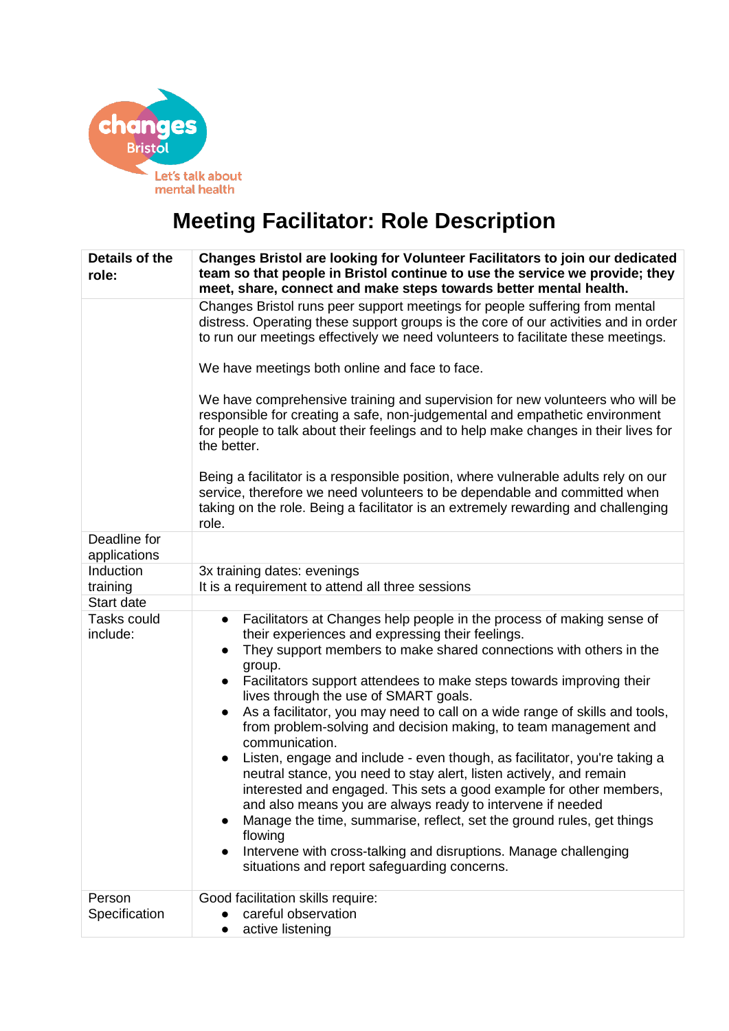

## **Meeting Facilitator: Role Description**

| Details of the<br>role:        | <b>Changes Bristol are looking for Volunteer Facilitators to join our dedicated</b><br>team so that people in Bristol continue to use the service we provide; they<br>meet, share, connect and make steps towards better mental health.                                                                                                                                                                                                                                                                                                                                                                                                                                                                                                                                                                                                                                                                                                                                                                                                 |
|--------------------------------|-----------------------------------------------------------------------------------------------------------------------------------------------------------------------------------------------------------------------------------------------------------------------------------------------------------------------------------------------------------------------------------------------------------------------------------------------------------------------------------------------------------------------------------------------------------------------------------------------------------------------------------------------------------------------------------------------------------------------------------------------------------------------------------------------------------------------------------------------------------------------------------------------------------------------------------------------------------------------------------------------------------------------------------------|
|                                | Changes Bristol runs peer support meetings for people suffering from mental<br>distress. Operating these support groups is the core of our activities and in order<br>to run our meetings effectively we need volunteers to facilitate these meetings.                                                                                                                                                                                                                                                                                                                                                                                                                                                                                                                                                                                                                                                                                                                                                                                  |
|                                | We have meetings both online and face to face.                                                                                                                                                                                                                                                                                                                                                                                                                                                                                                                                                                                                                                                                                                                                                                                                                                                                                                                                                                                          |
|                                | We have comprehensive training and supervision for new volunteers who will be<br>responsible for creating a safe, non-judgemental and empathetic environment<br>for people to talk about their feelings and to help make changes in their lives for<br>the better.                                                                                                                                                                                                                                                                                                                                                                                                                                                                                                                                                                                                                                                                                                                                                                      |
|                                | Being a facilitator is a responsible position, where vulnerable adults rely on our<br>service, therefore we need volunteers to be dependable and committed when<br>taking on the role. Being a facilitator is an extremely rewarding and challenging<br>role.                                                                                                                                                                                                                                                                                                                                                                                                                                                                                                                                                                                                                                                                                                                                                                           |
| Deadline for<br>applications   |                                                                                                                                                                                                                                                                                                                                                                                                                                                                                                                                                                                                                                                                                                                                                                                                                                                                                                                                                                                                                                         |
| Induction<br>training          | 3x training dates: evenings<br>It is a requirement to attend all three sessions                                                                                                                                                                                                                                                                                                                                                                                                                                                                                                                                                                                                                                                                                                                                                                                                                                                                                                                                                         |
| Start date                     |                                                                                                                                                                                                                                                                                                                                                                                                                                                                                                                                                                                                                                                                                                                                                                                                                                                                                                                                                                                                                                         |
| <b>Tasks could</b><br>include: | Facilitators at Changes help people in the process of making sense of<br>$\bullet$<br>their experiences and expressing their feelings.<br>They support members to make shared connections with others in the<br>group.<br>Facilitators support attendees to make steps towards improving their<br>$\bullet$<br>lives through the use of SMART goals.<br>As a facilitator, you may need to call on a wide range of skills and tools,<br>from problem-solving and decision making, to team management and<br>communication.<br>Listen, engage and include - even though, as facilitator, you're taking a<br>$\bullet$<br>neutral stance, you need to stay alert, listen actively, and remain<br>interested and engaged. This sets a good example for other members,<br>and also means you are always ready to intervene if needed<br>Manage the time, summarise, reflect, set the ground rules, get things<br>flowing<br>Intervene with cross-talking and disruptions. Manage challenging<br>situations and report safeguarding concerns. |
| Person<br>Specification        | Good facilitation skills require:<br>careful observation<br>active listening                                                                                                                                                                                                                                                                                                                                                                                                                                                                                                                                                                                                                                                                                                                                                                                                                                                                                                                                                            |